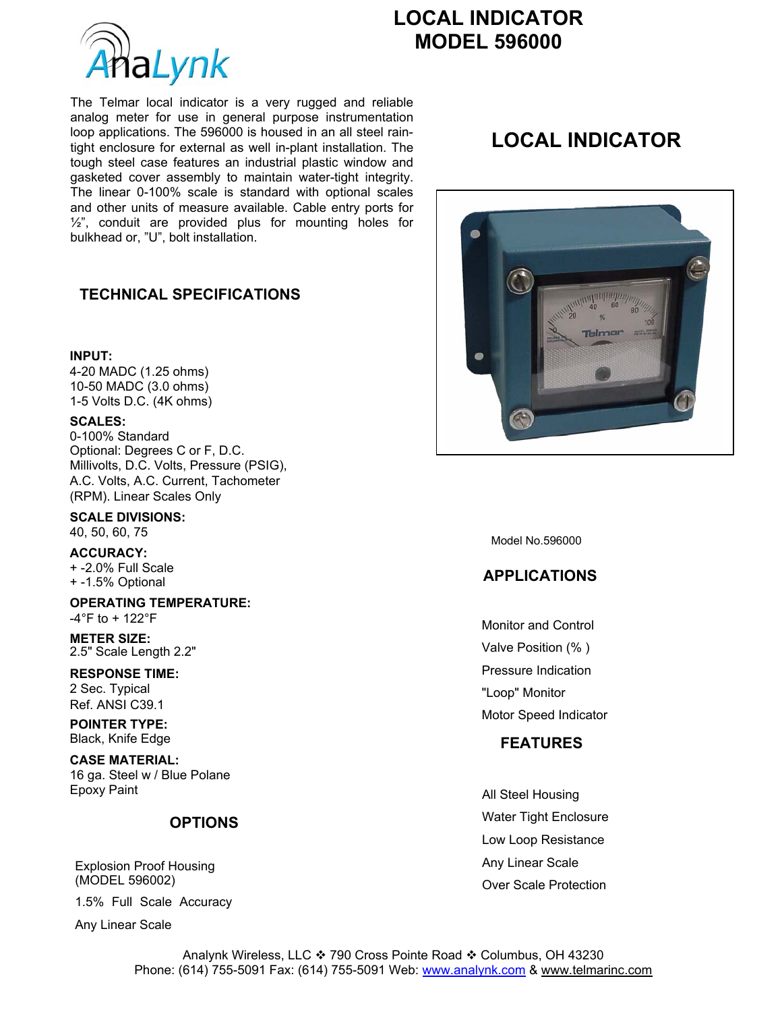

# **LOCAL INDICATOR**

The Telmar local indicator is a very rugged and reliable analog meter for use in general purpose instrumentation loop applications. The 596000 is housed in an all steel raintight enclosure for external as well in-plant installation. The tough steel case features an industrial plastic window and gasketed cover assembly to maintain water-tight integrity. The linear 0-100% scale is standard with optional scales and other units of measure available. Cable entry ports for  $1/2$ ", conduit are provided plus for mounting holes for bulkhead or, "U", bolt installation.

### **TECHNICAL SPECIFICATIONS**

#### **INPUT:**

4-20 MADC (1.25 ohms) 10-50 MADC (3.0 ohms) 1-5 Volts D.C. (4K ohms)

#### **SCALES:**

0-100% Standard Optional: Degrees C or F, D.C. Millivolts, D.C. Volts, Pressure (PSIG), A.C. Volts, A.C. Current, Tachometer (RPM). Linear Scales Only

**SCALE DIVISIONS:**  40, 50, 60, 75

**ACCURACY:**  + -2.0% Full Scale + -1.5% Optional

**OPERATING TEMPERATURE:**  -4°F to + 122°F

**METER SIZE:**  2.5" Scale Length 2.2"

**RESPONSE TIME:**  2 Sec. Typical Ref. ANSI C39.1

**POINTER TYPE:**  Black, Knife Edge

**CASE MATERIAL:**  16 ga. Steel w / Blue Polane Epoxy Paint

#### **OPTIONS**

Explosion Proof Housing (MODEL 596002)

1.5% Full Scale Accuracy

Any Linear Scale

# **LOCAL INDICATOR**



Model No.596000

## **APPLICATIONS**

Monitor and Control Valve Position (% ) Pressure Indication "Loop" Monitor Motor Speed Indicator

#### **FEATURES**

All Steel Housing Water Tight Enclosure Low Loop Resistance Any Linear Scale Over Scale Protection